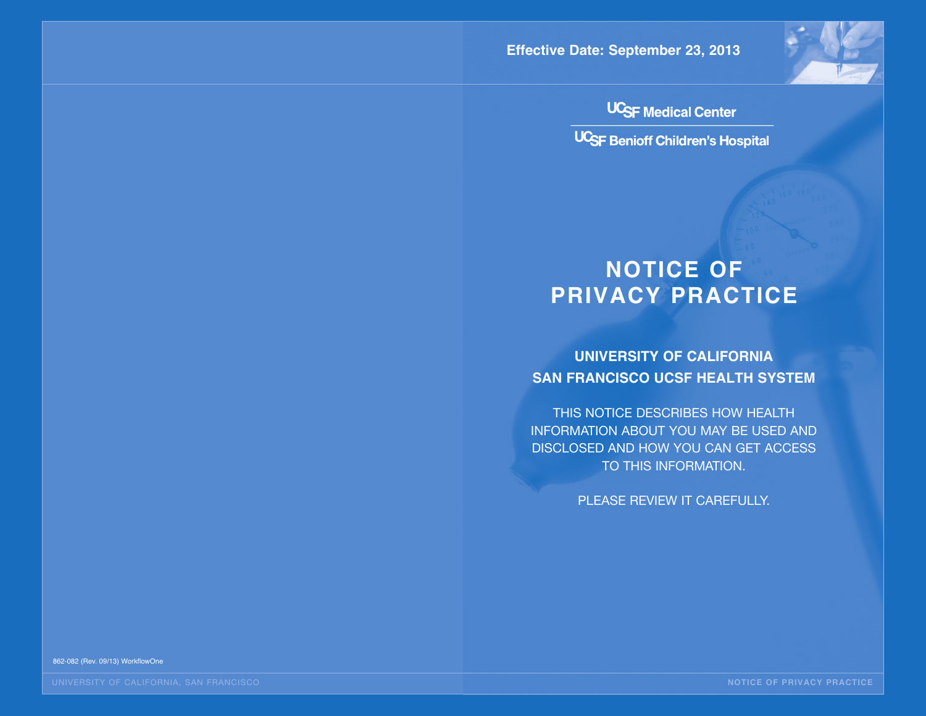**Effective Date: September 23, 2013**



**UC<sub>SF</sub>** Medical Center

UCSF Benioff Children's Hospital

# **NOTICE OF PRIVACY PRACTICE**

**UNIVERSITY OF CALIFORNIA SAN FRANCISCO UCSF HEALTH SYSTEM**

THIS NOTICE DESCRIBES HOW HEALTH INFORMATION ABOUT YOU MAY BE USED AND DISCLOSED AND HOW YOU CAN GET ACCESS TO THIS INFORMATION.

PLEASE REVIEW IT CAREFULLY.

862-082 (Rev. 09/13) WorkflowOne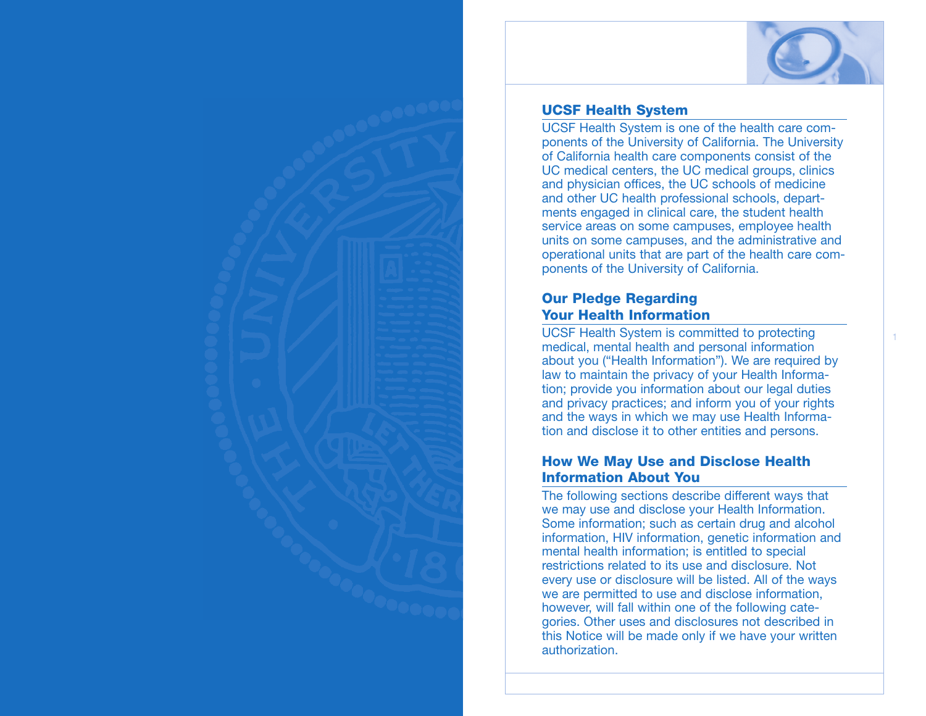

#### **UCSF Health System**

UCSF Health System is one of the health care components of the University of California. The University of California health care components consist of the UC medical centers, the UC medical groups, clinics and physician offices, the UC schools of medicine and other UC health professional schools, departments engaged in clinical care, the student health service areas on some campuses, employee health units on some campuses, and the administrative and operational units that are part of the health care components of the University of California.

### **Our Pledge Regarding Your Health Information**

UCSF Health System is committed to protecting medical, mental health and personal information about you ("Health Information"). We are required by law to maintain the privacy of your Health Information; provide you information about our legal duties and privacy practices; and inform you of your rights and the ways in which we may use Health Information and disclose it to other entities and persons.

#### **How We May Use and Disclose Health Information About You**

The following sections describe different ways that we may use and disclose your Health Information. Some information; such as certain drug and alcohol information, HIV information, genetic information and mental health information; is entitled to special restrictions related to its use and disclosure. Not every use or disclosure will be listed. All of the ways we are permitted to use and disclose information, however, will fall within one of the following categories. Other uses and disclosures not described in this Notice will be made only if we have your written authorization.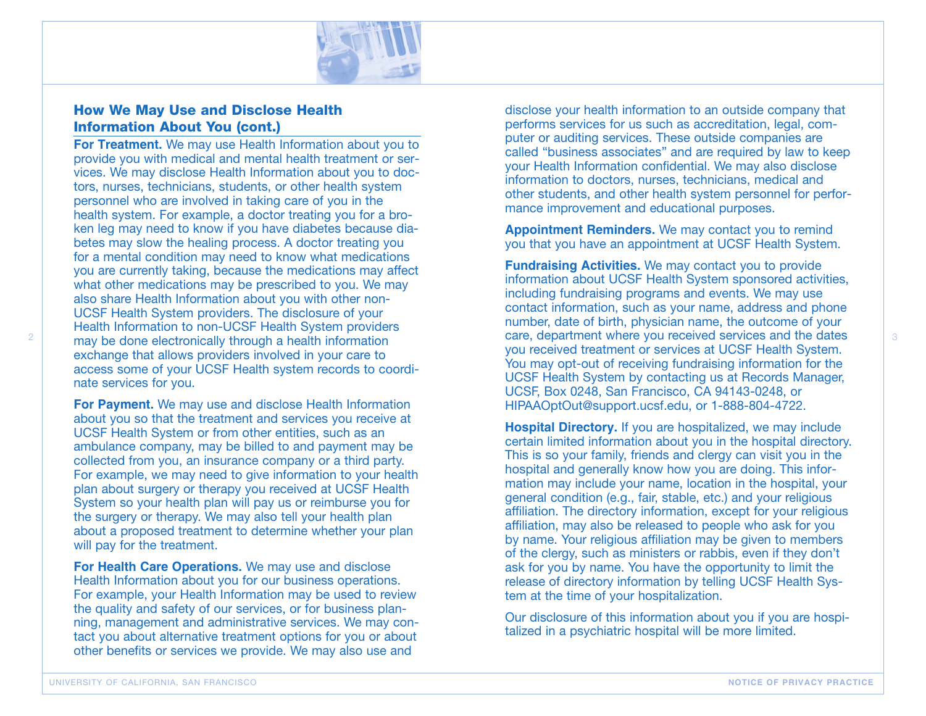

#### **How We May Use and Disclose Health Information About You (cont.)**

**For Treatment.** We may use Health Information about you to provide you with medical and mental health treatment or services. We may disclose Health Information about you to doctors, nurses, technicians, students, or other health system personnel who are involved in taking care of you in the health system. For example, a doctor treating you for a broken leg may need to know if you have diabetes because diabetes may slow the healing process. A doctor treating you for a mental condition may need to know what medications you are currently taking, because the medications may affect what other medications may be prescribed to you. We may also share Health Information about you with other non-UCSF Health System providers. The disclosure of your Health Information to non-UCSF Health System providers may be done electronically through a health information exchange that allows providers involved in your care to access some of your UCSF Health system records to coordinate services for you.

**For Payment.** We may use and disclose Health Information about you so that the treatment and services you receive at UCSF Health System or from other entities, such as an ambulance company, may be billed to and payment may be collected from you, an insurance company or a third party. For example, we may need to give information to your health plan about surgery or therapy you received at UCSF Health System so your health plan will pay us or reimburse you for the surgery or therapy. We may also tell your health plan about a proposed treatment to determine whether your plan will pay for the treatment.

**For Health Care Operations.** We may use and disclose Health Information about you for our business operations. For example, your Health Information may be used to review the quality and safety of our services, or for business planning, management and administrative services. We may contact you about alternative treatment options for you or about other benefits or services we provide. We may also use and

disclose your health information to an outside company that performs services for us such as accreditation, legal, computer or auditing services. These outside companies are called "business associates" and are required by law to keep your Health Information confidential. We may also disclose information to doctors, nurses, technicians, medical and other students, and other health system personnel for performance improvement and educational purposes.

**Appointment Reminders.** We may contact you to remind you that you have an appointment at UCSF Health System.

**Fundraising Activities.** We may contact you to provide information about UCSF Health System sponsored activities, including fundraising programs and events. We may use contact information, such as your name, address and phone number, date of birth, physician name, the outcome of your care, department where you received services and the dates you received treatment or services at UCSF Health System. You may opt-out of receiving fundraising information for the UCSF Health System by contacting us at Records Manager, UCSF, Box 0248, San Francisco, CA 94143-0248, or HIPAAOptOut@support.ucsf.edu, or 1-888-804-4722.

**Hospital Directory.** If you are hospitalized, we may include certain limited information about you in the hospital directory. This is so your family, friends and clergy can visit you in the hospital and generally know how you are doing. This information may include your name, location in the hospital, your general condition (e.g., fair, stable, etc.) and your religious affiliation. The directory information, except for your religious affiliation, may also be released to people who ask for you by name. Your religious affiliation may be given to members of the clergy, such as ministers or rabbis, even if they don't ask for you by name. You have the opportunity to limit the release of directory information by telling UCSF Health System at the time of your hospitalization.

Our disclosure of this information about you if you are hospitalized in a psychiatric hospital will be more limited.

2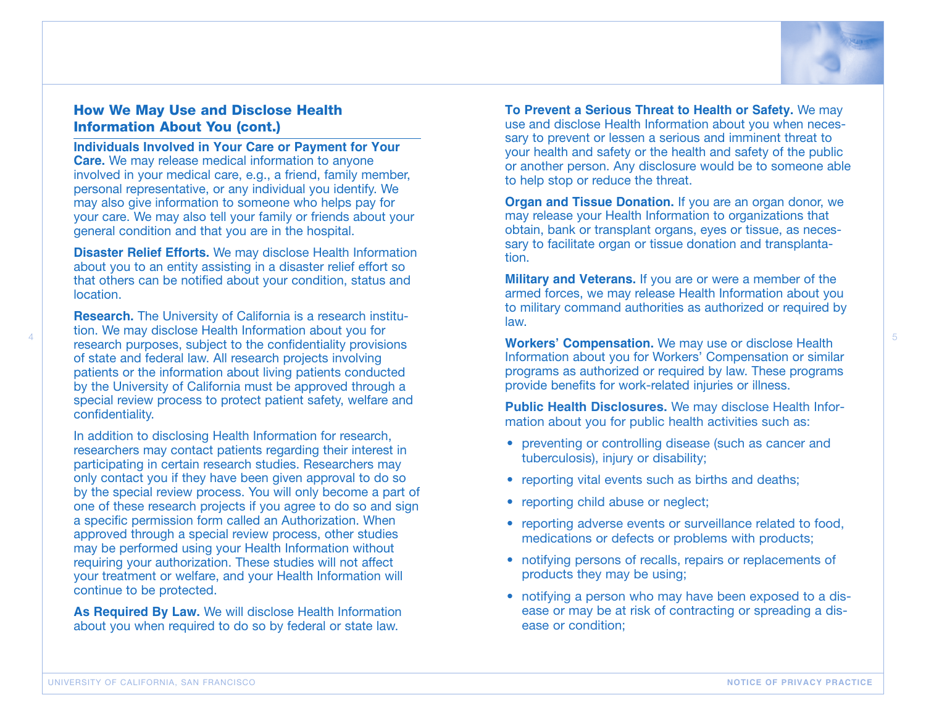

### **How We May Use and Disclose Health Information About You (cont.)**

**Individuals Involved in Your Care or Payment for Your Care.** We may release medical information to anyone involved in your medical care, e.g., a friend, family member, personal representative, or any individual you identify. We may also give information to someone who helps pay for your care. We may also tell your family or friends about your general condition and that you are in the hospital.

**Disaster Relief Efforts.** We may disclose Health Information about you to an entity assisting in a disaster relief effort so that others can be notified about your condition, status and location.

**Research.** The University of California is a research institution. We may disclose Health Information about you for research purposes, subject to the confidentiality provisions of state and federal law. All research projects involving patients or the information about living patients conducted by the University of California must be approved through a special review process to protect patient safety, welfare and confidentiality.

In addition to disclosing Health Information for research, researchers may contact patients regarding their interest in participating in certain research studies. Researchers may only contact you if they have been given approval to do so by the special review process. You will only become a part of one of these research projects if you agree to do so and sign a specific permission form called an Authorization. When approved through a special review process, other studies may be performed using your Health Information without requiring your authorization. These studies will not affect your treatment or welfare, and your Health Information will continue to be protected.

**As Required By Law.** We will disclose Health Information about you when required to do so by federal or state law.

**To Prevent a Serious Threat to Health or Safety.** We may use and disclose Health Information about you when necessary to prevent or lessen a serious and imminent threat to your health and safety or the health and safety of the public or another person. Any disclosure would be to someone able to help stop or reduce the threat.

**Organ and Tissue Donation.** If you are an organ donor, we may release your Health Information to organizations that obtain, bank or transplant organs, eyes or tissue, as necessary to facilitate organ or tissue donation and transplantation.

**Military and Veterans.** If you are or were a member of the armed forces, we may release Health Information about you to military command authorities as authorized or required by law.

**Workers' Compensation.** We may use or disclose Health Information about you for Workers' Compensation or similar programs as authorized or required by law. These programs provide benefits for work-related injuries or illness.

**Public Health Disclosures.** We may disclose Health Information about you for public health activities such as:

- preventing or controlling disease (such as cancer and tuberculosis), injury or disability;
- reporting vital events such as births and deaths;
- reporting child abuse or neglect;
- reporting adverse events or surveillance related to food, medications or defects or problems with products;
- notifying persons of recalls, repairs or replacements of products they may be using;
- notifying a person who may have been exposed to a disease or may be at risk of contracting or spreading a disease or condition;

5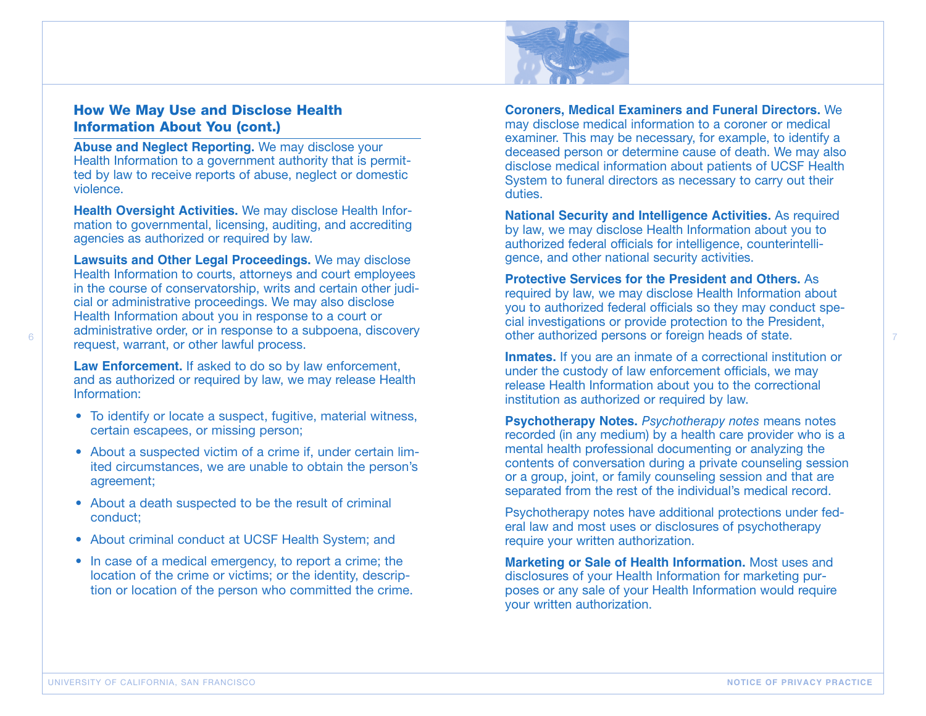

#### **How We May Use and Disclose Health Information About You (cont.)**

**Abuse and Neglect Reporting.** We may disclose your Health Information to a government authority that is permitted by law to receive reports of abuse, neglect or domestic violence.

**Health Oversight Activities.** We may disclose Health Information to governmental, licensing, auditing, and accrediting agencies as authorized or required by law.

**Lawsuits and Other Legal Proceedings.** We may disclose Health Information to courts, attorneys and court employees in the course of conservatorship, writs and certain other judicial or administrative proceedings. We may also disclose Health Information about you in response to a court or administrative order, or in response to a subpoena, discovery request, warrant, or other lawful process.

**Law Enforcement.** If asked to do so by law enforcement, and as authorized or required by law, we may release Health Information:

- To identify or locate a suspect, fugitive, material witness, certain escapees, or missing person;
- About a suspected victim of a crime if, under certain limited circumstances, we are unable to obtain the person's agreement;
- About a death suspected to be the result of criminal conduct;
- About criminal conduct at UCSF Health System; and
- In case of a medical emergency, to report a crime; the location of the crime or victims; or the identity, description or location of the person who committed the crime.

**Coroners, Medical Examiners and Funeral Directors.** We may disclose medical information to a coroner or medical examiner. This may be necessary, for example, to identify a deceased person or determine cause of death. We may also disclose medical information about patients of UCSF Health System to funeral directors as necessary to carry out their duties.

**National Security and Intelligence Activities.** As required by law, we may disclose Health Information about you to authorized federal officials for intelligence, counterintelligence, and other national security activities.

**Protective Services for the President and Others.** As required by law, we may disclose Health Information about you to authorized federal officials so they may conduct special investigations or provide protection to the President, other authorized persons or foreign heads of state.

**Inmates.** If you are an inmate of a correctional institution or under the custody of law enforcement officials, we may release Health Information about you to the correctional institution as authorized or required by law.

**Psychotherapy Notes.** *Psychotherapy notes* means notes recorded (in any medium) by a health care provider who is a mental health professional documenting or analyzing the contents of conversation during a private counseling session or a group, joint, or family counseling session and that are separated from the rest of the individual's medical record.

Psychotherapy notes have additional protections under federal law and most uses or disclosures of psychotherapy require your written authorization.

**Marketing or Sale of Health Information.** Most uses and disclosures of your Health Information for marketing purposes or any sale of your Health Information would require your written authorization.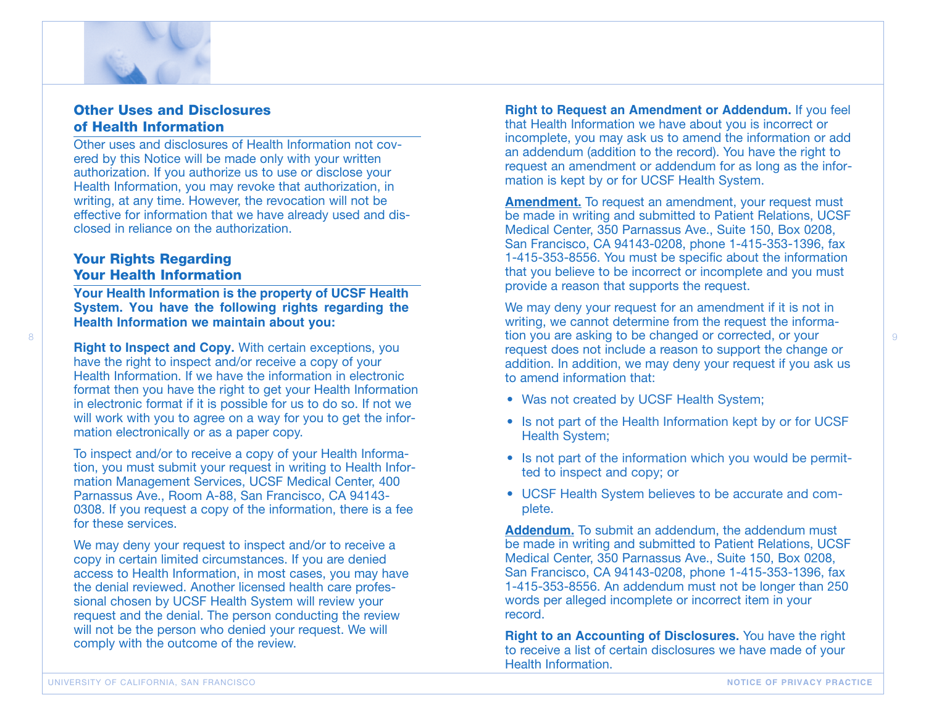

#### **Other Uses and Disclosures of Health Information**

Other uses and disclosures of Health Information not covered by this Notice will be made only with your written authorization. If you authorize us to use or disclose your Health Information, you may revoke that authorization, in writing, at any time. However, the revocation will not be effective for information that we have already used and disclosed in reliance on the authorization.

#### **Your Rights Regarding Your Health Information**

8

**Your Health Information is the property of UCSF Health System. You have the following rights regarding the Health Information we maintain about you:**

**Right to Inspect and Copy.** With certain exceptions, you have the right to inspect and/or receive a copy of your Health Information. If we have the information in electronic format then you have the right to get your Health Information in electronic format if it is possible for us to do so. If not we will work with you to agree on a way for you to get the information electronically or as a paper copy.

To inspect and/or to receive a copy of your Health Information, you must submit your request in writing to Health Information Management Services, UCSF Medical Center, 400 Parnassus Ave., Room A-88, San Francisco, CA 94143- 0308. If you request a copy of the information, there is a fee for these services.

We may deny your request to inspect and/or to receive a copy in certain limited circumstances. If you are denied access to Health Information, in most cases, you may have the denial reviewed. Another licensed health care professional chosen by UCSF Health System will review your request and the denial. The person conducting the review will not be the person who denied your request. We will comply with the outcome of the review.

**Right to Request an Amendment or Addendum.** If you feel that Health Information we have about you is incorrect or incomplete, you may ask us to amend the information or add an addendum (addition to the record). You have the right to request an amendment or addendum for as long as the information is kept by or for UCSF Health System.

**Amendment.** To request an amendment, your request must be made in writing and submitted to Patient Relations, UCSF Medical Center, 350 Parnassus Ave., Suite 150, Box 0208, San Francisco, CA 94143-0208, phone 1-415-353-1396, fax 1-415-353-8556. You must be specific about the information that you believe to be incorrect or incomplete and you must provide a reason that supports the request.

We may deny your request for an amendment if it is not in writing, we cannot determine from the request the information you are asking to be changed or corrected, or your request does not include a reason to support the change or addition. In addition, we may deny your request if you ask us to amend information that:

9

- Was not created by UCSF Health System;
- Is not part of the Health Information kept by or for UCSF Health System;
- Is not part of the information which you would be permitted to inspect and copy; or
- UCSF Health System believes to be accurate and complete.

**Addendum.** To submit an addendum, the addendum must be made in writing and submitted to Patient Relations, UCSF Medical Center, 350 Parnassus Ave., Suite 150, Box 0208, San Francisco, CA 94143-0208, phone 1-415-353-1396, fax 1-415-353-8556. An addendum must not be longer than 250 words per alleged incomplete or incorrect item in your record.

**Right to an Accounting of Disclosures.** You have the right to receive a list of certain disclosures we have made of your Health Information.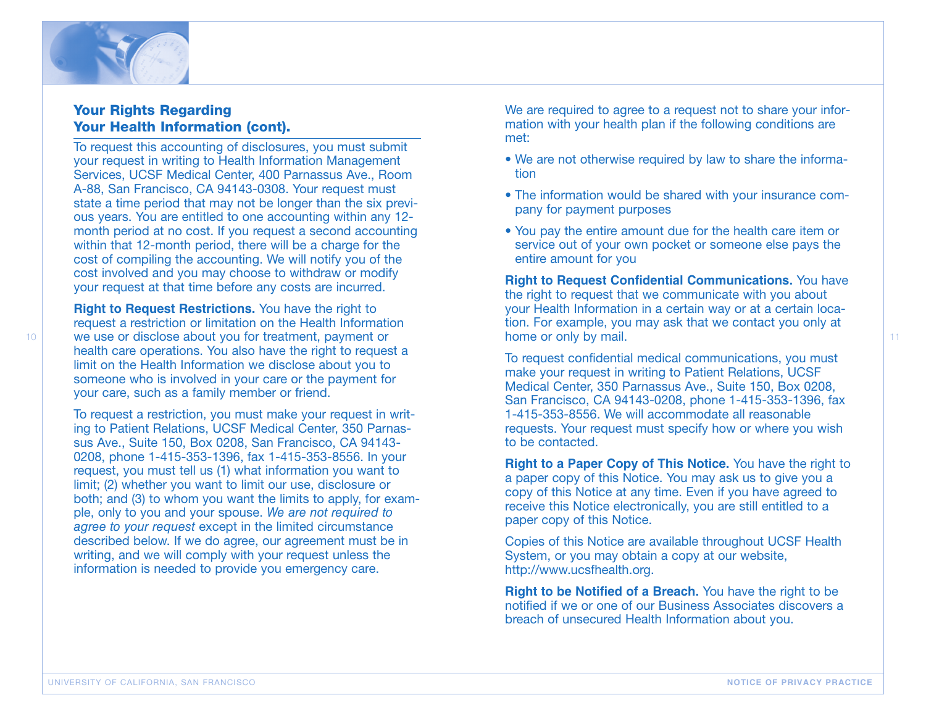

## **Your Rights Regarding Your Health Information (cont).**

To request this accounting of disclosures, you must submit your request in writing to Health Information Management Services, UCSF Medical Center, 400 Parnassus Ave., Room A-88, San Francisco, CA 94143-0308. Your request must state a time period that may not be longer than the six previous years. You are entitled to one accounting within any 12 month period at no cost. If you request a second accounting within that 12-month period, there will be a charge for the cost of compiling the accounting. We will notify you of the cost involved and you may choose to withdraw or modify your request at that time before any costs are incurred.

**Right to Request Restrictions.** You have the right to request a restriction or limitation on the Health Information we use or disclose about you for treatment, payment or health care operations. You also have the right to request a limit on the Health Information we disclose about you to someone who is involved in your care or the payment for your care, such as a family member or friend.

To request a restriction, you must make your request in writing to Patient Relations, UCSF Medical Center, 350 Parnassus Ave., Suite 150, Box 0208, San Francisco, CA 94143- 0208, phone 1-415-353-1396, fax 1-415-353-8556. In your request, you must tell us (1) what information you want to limit; (2) whether you want to limit our use, disclosure or both; and (3) to whom you want the limits to apply, for example, only to you and your spouse. *We are not required to agree to your request* except in the limited circumstance described below. If we do agree, our agreement must be in writing, and we will comply with your request unless the information is needed to provide you emergency care.

We are required to agree to a request not to share your information with your health plan if the following conditions are met:

- We are not otherwise required by law to share the information
- The information would be shared with your insurance company for payment purposes
- You pay the entire amount due for the health care item or service out of your own pocket or someone else pays the entire amount for you

**Right to Request Confidential Communications.** You have the right to request that we communicate with you about your Health Information in a certain way or at a certain location. For example, you may ask that we contact you only at home or only by mail.

To request confidential medical communications, you must make your request in writing to Patient Relations, UCSF Medical Center, 350 Parnassus Ave., Suite 150, Box 0208, San Francisco, CA 94143-0208, phone 1-415-353-1396, fax 1-415-353-8556. We will accommodate all reasonable requests. Your request must specify how or where you wish to be contacted.

**Right to a Paper Copy of This Notice.** You have the right to a paper copy of this Notice. You may ask us to give you a copy of this Notice at any time. Even if you have agreed to receive this Notice electronically, you are still entitled to a paper copy of this Notice.

Copies of this Notice are available throughout UCSF Health System, or you may obtain a copy at our website, http://www.ucsfhealth.org.

**Right to be Notified of a Breach.** You have the right to be notified if we or one of our Business Associates discovers a breach of unsecured Health Information about you.